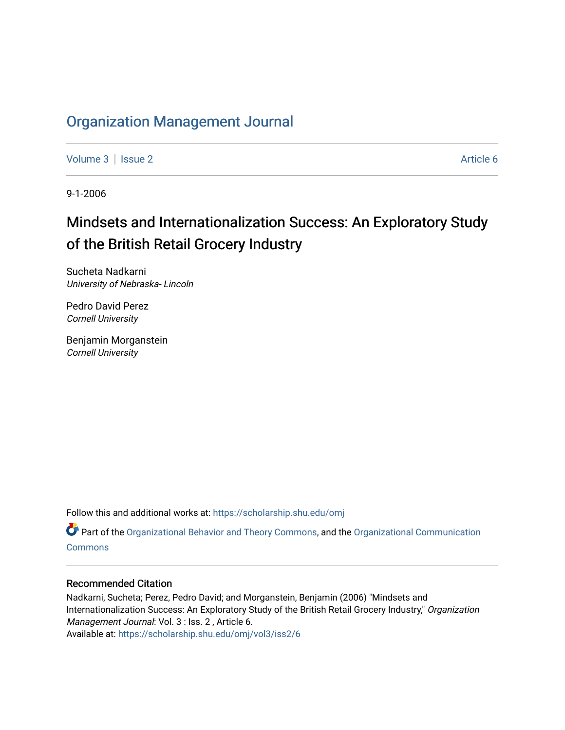## [Organization Management Journal](https://scholarship.shu.edu/omj)

[Volume 3](https://scholarship.shu.edu/omj/vol3) | [Issue 2](https://scholarship.shu.edu/omj/vol3/iss2) Article 6

9-1-2006

# Mindsets and Internationalization Success: An Exploratory Study of the British Retail Grocery Industry

Sucheta Nadkarni University of Nebraska- Lincoln

Pedro David Perez Cornell University

Benjamin Morganstein Cornell University

Follow this and additional works at: [https://scholarship.shu.edu/omj](https://scholarship.shu.edu/omj?utm_source=scholarship.shu.edu%2Fomj%2Fvol3%2Fiss2%2F6&utm_medium=PDF&utm_campaign=PDFCoverPages) 

Part of the [Organizational Behavior and Theory Commons,](http://network.bepress.com/hgg/discipline/639?utm_source=scholarship.shu.edu%2Fomj%2Fvol3%2Fiss2%2F6&utm_medium=PDF&utm_campaign=PDFCoverPages) and the [Organizational Communication](http://network.bepress.com/hgg/discipline/335?utm_source=scholarship.shu.edu%2Fomj%2Fvol3%2Fiss2%2F6&utm_medium=PDF&utm_campaign=PDFCoverPages) [Commons](http://network.bepress.com/hgg/discipline/335?utm_source=scholarship.shu.edu%2Fomj%2Fvol3%2Fiss2%2F6&utm_medium=PDF&utm_campaign=PDFCoverPages)

#### Recommended Citation

Nadkarni, Sucheta; Perez, Pedro David; and Morganstein, Benjamin (2006) "Mindsets and Internationalization Success: An Exploratory Study of the British Retail Grocery Industry," Organization Management Journal: Vol. 3 : Iss. 2, Article 6. Available at: [https://scholarship.shu.edu/omj/vol3/iss2/6](https://scholarship.shu.edu/omj/vol3/iss2/6?utm_source=scholarship.shu.edu%2Fomj%2Fvol3%2Fiss2%2F6&utm_medium=PDF&utm_campaign=PDFCoverPages)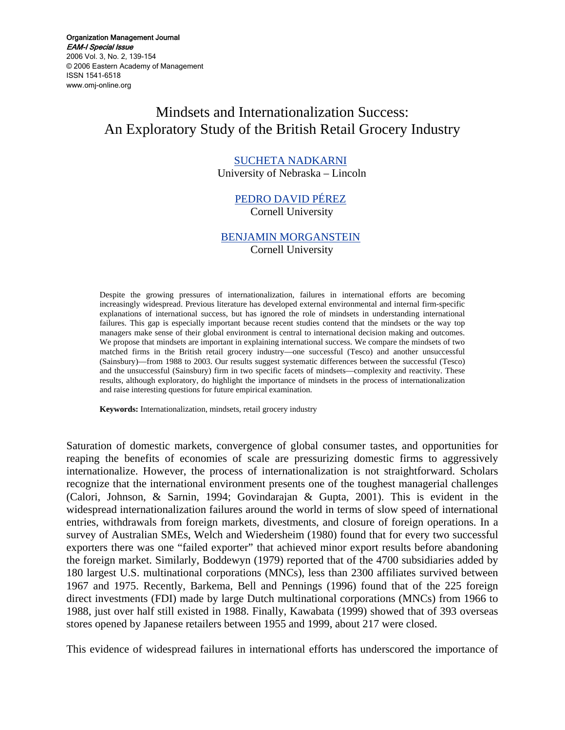Organization Management Journal EAM-I Special Issue 2006 Vol. 3, No. 2, 139-154 © 2006 Eastern Academy of Management ISSN 1541-6518 www.omj-online.org

## Mindsets and Internationalization Success: An Exploratory Study of the British Retail Grocery Industry

#### [SUCHETA NADKARNI](mailto:snadkarn@unlnotes.unl.edu)

University of Nebraska – Lincoln

## [PEDRO DAVID PÉREZ](mailto:pdp5@cornell.edu)

Cornell University

#### [BENJAMIN MORGANSTEIN](mailto:bam49@cornell.edu) Cornell University

Despite the growing pressures of internationalization, failures in international efforts are becoming increasingly widespread. Previous literature has developed external environmental and internal firm-specific explanations of international success, but has ignored the role of mindsets in understanding international failures. This gap is especially important because recent studies contend that the mindsets or the way top managers make sense of their global environment is central to international decision making and outcomes. We propose that mindsets are important in explaining international success. We compare the mindsets of two matched firms in the British retail grocery industry—one successful (Tesco) and another unsuccessful (Sainsbury)—from 1988 to 2003. Our results suggest systematic differences between the successful (Tesco) and the unsuccessful (Sainsbury) firm in two specific facets of mindsets—complexity and reactivity. These results, although exploratory, do highlight the importance of mindsets in the process of internationalization and raise interesting questions for future empirical examination.

**Keywords:** Internationalization, mindsets, retail grocery industry

Saturation of domestic markets, convergence of global consumer tastes, and opportunities for reaping the benefits of economies of scale are pressurizing domestic firms to aggressively internationalize. However, the process of internationalization is not straightforward. Scholars recognize that the international environment presents one of the toughest managerial challenges (Calori, Johnson, & Sarnin, 1994; Govindarajan & Gupta, 2001). This is evident in the widespread internationalization failures around the world in terms of slow speed of international entries, withdrawals from foreign markets, divestments, and closure of foreign operations. In a survey of Australian SMEs, Welch and Wiedersheim (1980) found that for every two successful exporters there was one "failed exporter" that achieved minor export results before abandoning the foreign market. Similarly, Boddewyn (1979) reported that of the 4700 subsidiaries added by 180 largest U.S. multinational corporations (MNCs), less than 2300 affiliates survived between 1967 and 1975. Recently, Barkema, Bell and Pennings (1996) found that of the 225 foreign direct investments (FDI) made by large Dutch multinational corporations (MNCs) from 1966 to 1988, just over half still existed in 1988. Finally, Kawabata (1999) showed that of 393 overseas stores opened by Japanese retailers between 1955 and 1999, about 217 were closed.

This evidence of widespread failures in international efforts has underscored the importance of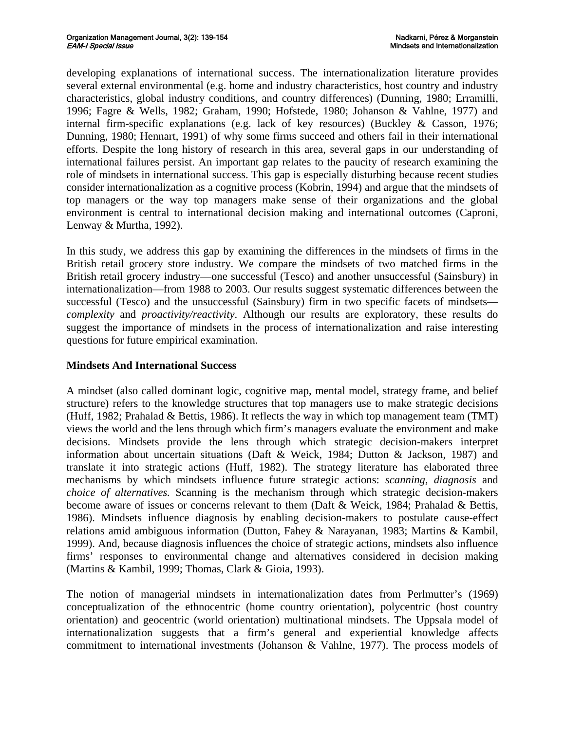140

developing explanations of international success. The internationalization literature provides several external environmental (e.g. home and industry characteristics, host country and industry characteristics, global industry conditions, and country differences) (Dunning, 1980; Erramilli, 1996; Fagre & Wells, 1982; Graham, 1990; Hofstede, 1980; Johanson & Vahlne, 1977) and internal firm-specific explanations (e.g. lack of key resources) (Buckley & Casson, 1976; Dunning, 1980; Hennart, 1991) of why some firms succeed and others fail in their international efforts. Despite the long history of research in this area, several gaps in our understanding of international failures persist. An important gap relates to the paucity of research examining the role of mindsets in international success. This gap is especially disturbing because recent studies consider internationalization as a cognitive process (Kobrin, 1994) and argue that the mindsets of top managers or the way top managers make sense of their organizations and the global environment is central to international decision making and international outcomes (Caproni, Lenway & Murtha, 1992).

In this study, we address this gap by examining the differences in the mindsets of firms in the British retail grocery store industry. We compare the mindsets of two matched firms in the British retail grocery industry—one successful (Tesco) and another unsuccessful (Sainsbury) in internationalization—from 1988 to 2003. Our results suggest systematic differences between the successful (Tesco) and the unsuccessful (Sainsbury) firm in two specific facets of mindsets *complexity* and *proactivity/reactivity*. Although our results are exploratory, these results do suggest the importance of mindsets in the process of internationalization and raise interesting questions for future empirical examination.

## **Mindsets And International Success**

A mindset (also called dominant logic, cognitive map, mental model, strategy frame, and belief structure) refers to the knowledge structures that top managers use to make strategic decisions (Huff, 1982; Prahalad & Bettis, 1986). It reflects the way in which top management team (TMT) views the world and the lens through which firm's managers evaluate the environment and make decisions. Mindsets provide the lens through which strategic decision-makers interpret information about uncertain situations (Daft & Weick, 1984; Dutton & Jackson, 1987) and translate it into strategic actions (Huff, 1982). The strategy literature has elaborated three mechanisms by which mindsets influence future strategic actions: *scanning, diagnosis* and *choice of alternatives.* Scanning is the mechanism through which strategic decision-makers become aware of issues or concerns relevant to them (Daft & Weick, 1984; Prahalad & Bettis, 1986). Mindsets influence diagnosis by enabling decision-makers to postulate cause-effect relations amid ambiguous information (Dutton, Fahey & Narayanan, 1983; Martins & Kambil, 1999). And, because diagnosis influences the choice of strategic actions, mindsets also influence firms' responses to environmental change and alternatives considered in decision making (Martins & Kambil, 1999; Thomas, Clark & Gioia, 1993).

The notion of managerial mindsets in internationalization dates from Perlmutter's (1969) conceptualization of the ethnocentric (home country orientation), polycentric (host country orientation) and geocentric (world orientation) multinational mindsets. The Uppsala model of internationalization suggests that a firm's general and experiential knowledge affects commitment to international investments (Johanson & Vahlne, 1977). The process models of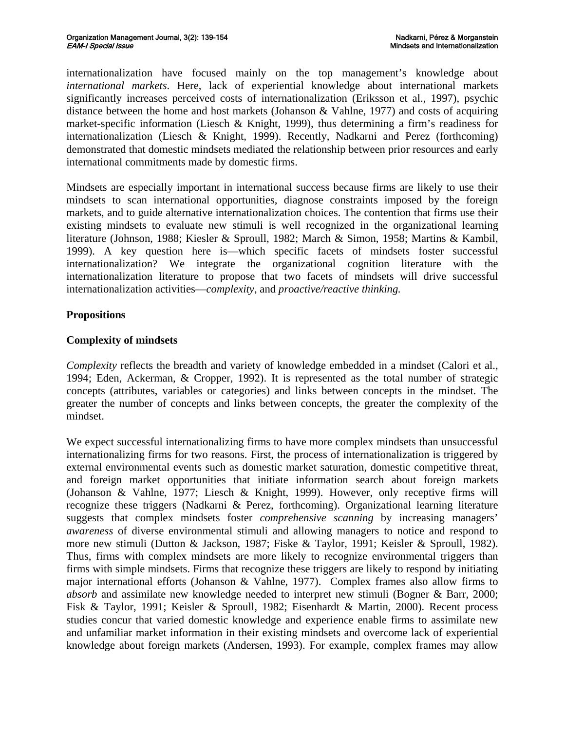internationalization have focused mainly on the top management's knowledge about *international markets*. Here, lack of experiential knowledge about international markets significantly increases perceived costs of internationalization (Eriksson et al., 1997), psychic distance between the home and host markets (Johanson & Vahlne, 1977) and costs of acquiring market-specific information (Liesch & Knight, 1999), thus determining a firm's readiness for internationalization (Liesch & Knight, 1999). Recently, Nadkarni and Perez (forthcoming) demonstrated that domestic mindsets mediated the relationship between prior resources and early international commitments made by domestic firms.

Mindsets are especially important in international success because firms are likely to use their mindsets to scan international opportunities, diagnose constraints imposed by the foreign markets, and to guide alternative internationalization choices. The contention that firms use their existing mindsets to evaluate new stimuli is well recognized in the organizational learning literature (Johnson, 1988; Kiesler & Sproull, 1982; March & Simon, 1958; Martins & Kambil, 1999). A key question here is—which specific facets of mindsets foster successful internationalization? We integrate the organizational cognition literature with the internationalization literature to propose that two facets of mindsets will drive successful internationalization activities—*complexity*, and *proactive/reactive thinking.*

## **Propositions**

## **Complexity of mindsets**

*Complexity* reflects the breadth and variety of knowledge embedded in a mindset (Calori et al., 1994; Eden, Ackerman, & Cropper, 1992). It is represented as the total number of strategic concepts (attributes, variables or categories) and links between concepts in the mindset. The greater the number of concepts and links between concepts, the greater the complexity of the mindset.

We expect successful internationalizing firms to have more complex mindsets than unsuccessful internationalizing firms for two reasons. First, the process of internationalization is triggered by external environmental events such as domestic market saturation, domestic competitive threat, and foreign market opportunities that initiate information search about foreign markets (Johanson & Vahlne, 1977; Liesch & Knight, 1999). However, only receptive firms will recognize these triggers (Nadkarni & Perez, forthcoming). Organizational learning literature suggests that complex mindsets foster *comprehensive scanning* by increasing managers' *awareness* of diverse environmental stimuli and allowing managers to notice and respond to more new stimuli (Dutton & Jackson, 1987; Fiske & Taylor, 1991; Keisler & Sproull, 1982). Thus, firms with complex mindsets are more likely to recognize environmental triggers than firms with simple mindsets. Firms that recognize these triggers are likely to respond by initiating major international efforts (Johanson & Vahlne, 1977). Complex frames also allow firms to *absorb* and assimilate new knowledge needed to interpret new stimuli (Bogner & Barr, 2000; Fisk & Taylor, 1991; Keisler & Sproull, 1982; Eisenhardt & Martin, 2000). Recent process studies concur that varied domestic knowledge and experience enable firms to assimilate new and unfamiliar market information in their existing mindsets and overcome lack of experiential knowledge about foreign markets (Andersen, 1993). For example, complex frames may allow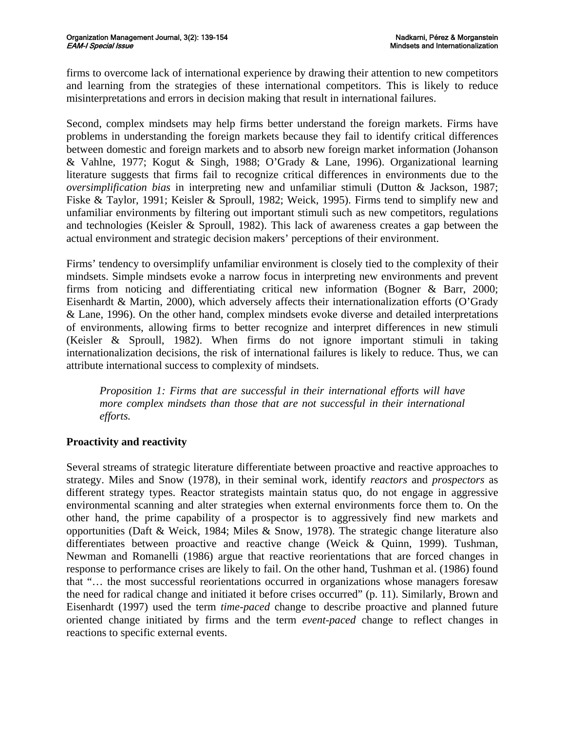firms to overcome lack of international experience by drawing their attention to new competitors and learning from the strategies of these international competitors. This is likely to reduce misinterpretations and errors in decision making that result in international failures.

Second, complex mindsets may help firms better understand the foreign markets. Firms have problems in understanding the foreign markets because they fail to identify critical differences between domestic and foreign markets and to absorb new foreign market information (Johanson & Vahlne, 1977; Kogut & Singh, 1988; O'Grady & Lane, 1996). Organizational learning literature suggests that firms fail to recognize critical differences in environments due to the *oversimplification bias* in interpreting new and unfamiliar stimuli (Dutton & Jackson, 1987; Fiske & Taylor, 1991; Keisler & Sproull, 1982; Weick, 1995). Firms tend to simplify new and unfamiliar environments by filtering out important stimuli such as new competitors, regulations and technologies (Keisler & Sproull, 1982). This lack of awareness creates a gap between the actual environment and strategic decision makers' perceptions of their environment.

Firms' tendency to oversimplify unfamiliar environment is closely tied to the complexity of their mindsets. Simple mindsets evoke a narrow focus in interpreting new environments and prevent firms from noticing and differentiating critical new information (Bogner & Barr, 2000; Eisenhardt & Martin, 2000), which adversely affects their internationalization efforts (O'Grady & Lane, 1996). On the other hand, complex mindsets evoke diverse and detailed interpretations of environments, allowing firms to better recognize and interpret differences in new stimuli (Keisler & Sproull, 1982). When firms do not ignore important stimuli in taking internationalization decisions, the risk of international failures is likely to reduce. Thus, we can attribute international success to complexity of mindsets.

*Proposition 1: Firms that are successful in their international efforts will have more complex mindsets than those that are not successful in their international efforts.* 

## **Proactivity and reactivity**

Several streams of strategic literature differentiate between proactive and reactive approaches to strategy. Miles and Snow (1978), in their seminal work*,* identify *reactors* and *prospectors* as different strategy types. Reactor strategists maintain status quo, do not engage in aggressive environmental scanning and alter strategies when external environments force them to. On the other hand, the prime capability of a prospector is to aggressively find new markets and opportunities (Daft & Weick, 1984; Miles & Snow, 1978). The strategic change literature also differentiates between proactive and reactive change (Weick & Quinn, 1999). Tushman, Newman and Romanelli (1986) argue that reactive reorientations that are forced changes in response to performance crises are likely to fail. On the other hand, Tushman et al. (1986) found that "… the most successful reorientations occurred in organizations whose managers foresaw the need for radical change and initiated it before crises occurred" (p. 11). Similarly, Brown and Eisenhardt (1997) used the term *time-paced* change to describe proactive and planned future oriented change initiated by firms and the term *event-paced* change to reflect changes in reactions to specific external events.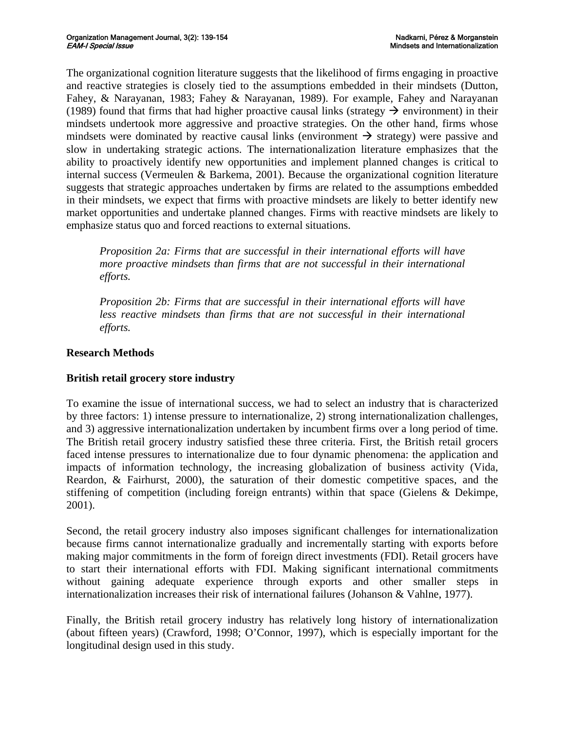The organizational cognition literature suggests that the likelihood of firms engaging in proactive and reactive strategies is closely tied to the assumptions embedded in their mindsets (Dutton, Fahey, & Narayanan, 1983; Fahey & Narayanan, 1989). For example, Fahey and Narayanan (1989) found that firms that had higher proactive causal links (strategy  $\rightarrow$  environment) in their mindsets undertook more aggressive and proactive strategies. On the other hand, firms whose mindsets were dominated by reactive causal links (environment  $\rightarrow$  strategy) were passive and slow in undertaking strategic actions. The internationalization literature emphasizes that the ability to proactively identify new opportunities and implement planned changes is critical to internal success (Vermeulen & Barkema, 2001). Because the organizational cognition literature suggests that strategic approaches undertaken by firms are related to the assumptions embedded in their mindsets, we expect that firms with proactive mindsets are likely to better identify new market opportunities and undertake planned changes. Firms with reactive mindsets are likely to emphasize status quo and forced reactions to external situations.

*Proposition 2a: Firms that are successful in their international efforts will have more proactive mindsets than firms that are not successful in their international efforts.* 

*Proposition 2b: Firms that are successful in their international efforts will have*  less reactive mindsets than firms that are not successful in their international *efforts.* 

## **Research Methods**

## **British retail grocery store industry**

To examine the issue of international success, we had to select an industry that is characterized by three factors: 1) intense pressure to internationalize, 2) strong internationalization challenges, and 3) aggressive internationalization undertaken by incumbent firms over a long period of time. The British retail grocery industry satisfied these three criteria. First, the British retail grocers faced intense pressures to internationalize due to four dynamic phenomena: the application and impacts of information technology, the increasing globalization of business activity (Vida, Reardon, & Fairhurst, 2000), the saturation of their domestic competitive spaces, and the stiffening of competition (including foreign entrants) within that space (Gielens & Dekimpe, 2001).

Second, the retail grocery industry also imposes significant challenges for internationalization because firms cannot internationalize gradually and incrementally starting with exports before making major commitments in the form of foreign direct investments (FDI). Retail grocers have to start their international efforts with FDI. Making significant international commitments without gaining adequate experience through exports and other smaller steps in internationalization increases their risk of international failures (Johanson & Vahlne, 1977).

Finally, the British retail grocery industry has relatively long history of internationalization (about fifteen years) (Crawford, 1998; O'Connor, 1997), which is especially important for the longitudinal design used in this study.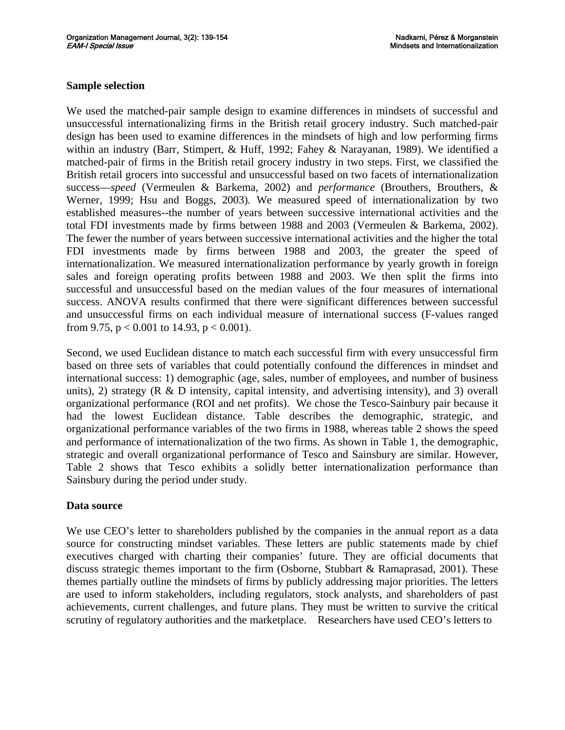### **Sample selection**

We used the matched-pair sample design to examine differences in mindsets of successful and unsuccessful internationalizing firms in the British retail grocery industry. Such matched-pair design has been used to examine differences in the mindsets of high and low performing firms within an industry (Barr, Stimpert, & Huff, 1992; Fahey & Narayanan, 1989). We identified a matched-pair of firms in the British retail grocery industry in two steps. First, we classified the British retail grocers into successful and unsuccessful based on two facets of internationalization success—*speed* (Vermeulen & Barkema, 2002) and *performance* (Brouthers, Brouthers, & Werner, 1999; Hsu and Boggs, 2003)*.* We measured speed of internationalization by two established measures--the number of years between successive international activities and the total FDI investments made by firms between 1988 and 2003 (Vermeulen & Barkema, 2002). The fewer the number of years between successive international activities and the higher the total FDI investments made by firms between 1988 and 2003, the greater the speed of internationalization. We measured internationalization performance by yearly growth in foreign sales and foreign operating profits between 1988 and 2003. We then split the firms into successful and unsuccessful based on the median values of the four measures of international success. ANOVA results confirmed that there were significant differences between successful and unsuccessful firms on each individual measure of international success (F-values ranged from 9.75,  $p < 0.001$  to 14.93,  $p < 0.001$ ).

Second, we used Euclidean distance to match each successful firm with every unsuccessful firm based on three sets of variables that could potentially confound the differences in mindset and international success: 1) demographic (age, sales, number of employees, and number of business units), 2) strategy (R & D intensity, capital intensity, and advertising intensity), and 3) overall organizational performance (ROI and net profits). We chose the Tesco-Sainbury pair because it had the lowest Euclidean distance. Table describes the demographic, strategic, and organizational performance variables of the two firms in 1988, whereas table 2 shows the speed and performance of internationalization of the two firms. As shown in Table 1, the demographic, strategic and overall organizational performance of Tesco and Sainsbury are similar. However, Table 2 shows that Tesco exhibits a solidly better internationalization performance than Sainsbury during the period under study.

#### **Data source**

We use CEO's letter to shareholders published by the companies in the annual report as a data source for constructing mindset variables. These letters are public statements made by chief executives charged with charting their companies' future. They are official documents that discuss strategic themes important to the firm (Osborne, Stubbart & Ramaprasad, 2001). These themes partially outline the mindsets of firms by publicly addressing major priorities. The letters are used to inform stakeholders, including regulators, stock analysts, and shareholders of past achievements, current challenges, and future plans. They must be written to survive the critical scrutiny of regulatory authorities and the marketplace. Researchers have used CEO's letters to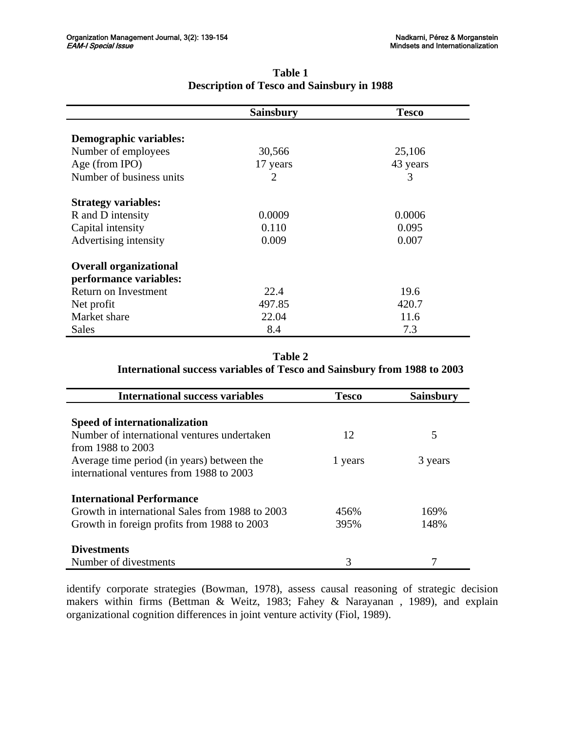|                               | <b>Sainsbury</b> | <b>Tesco</b> |
|-------------------------------|------------------|--------------|
|                               |                  |              |
| Demographic variables:        |                  |              |
| Number of employees           | 30,566           | 25,106       |
| Age (from IPO)                | 17 years         | 43 years     |
| Number of business units      | 2                | 3            |
| <b>Strategy variables:</b>    |                  |              |
| R and D intensity             | 0.0009           | 0.0006       |
| Capital intensity             | 0.110            | 0.095        |
| Advertising intensity         | 0.009            | 0.007        |
| <b>Overall organizational</b> |                  |              |
| performance variables:        |                  |              |
| Return on Investment          | 22.4             | 19.6         |
| Net profit                    | 497.85           | 420.7        |
| Market share                  | 22.04            | 11.6         |
| Sales                         | 8.4              | 7.3          |

## **Table 1 Description of Tesco and Sainsbury in 1988**

**Table 2** 

## **International success variables of Tesco and Sainsbury from 1988 to 2003**

| <b>International success variables</b>          | <b>Tesco</b> | <b>Sainsbury</b> |  |
|-------------------------------------------------|--------------|------------------|--|
|                                                 |              |                  |  |
| Speed of internationalization                   |              |                  |  |
| Number of international ventures undertaken     | 12           | 5                |  |
| from 1988 to 2003                               |              |                  |  |
| Average time period (in years) between the      | 1 years      | 3 years          |  |
| international ventures from 1988 to 2003        |              |                  |  |
| <b>International Performance</b>                |              |                  |  |
| Growth in international Sales from 1988 to 2003 | 456%         | 169%             |  |
| Growth in foreign profits from 1988 to 2003     | 395%         | 148%             |  |
| <b>Divestments</b>                              |              |                  |  |
| Number of divestments                           | 3            |                  |  |

identify corporate strategies (Bowman, 1978), assess causal reasoning of strategic decision makers within firms (Bettman & Weitz, 1983; Fahey & Narayanan , 1989), and explain organizational cognition differences in joint venture activity (Fiol, 1989).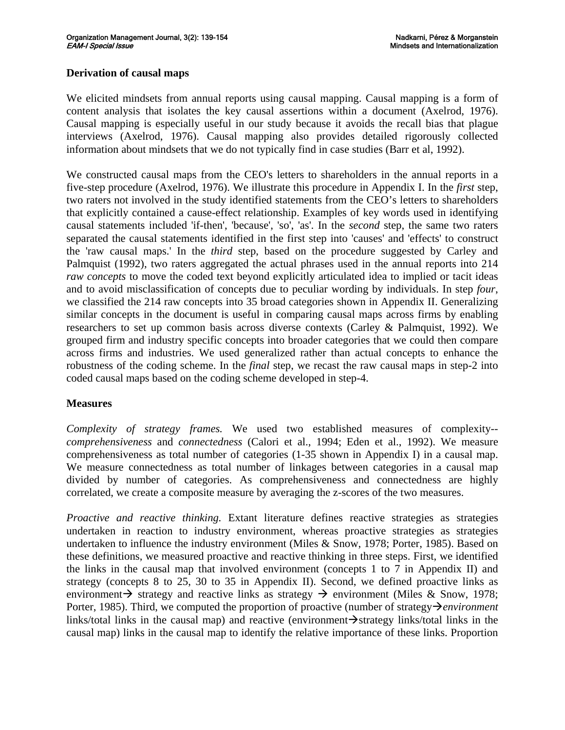#### **Derivation of causal maps**

We elicited mindsets from annual reports using causal mapping. Causal mapping is a form of content analysis that isolates the key causal assertions within a document (Axelrod, 1976). Causal mapping is especially useful in our study because it avoids the recall bias that plague interviews (Axelrod, 1976). Causal mapping also provides detailed rigorously collected information about mindsets that we do not typically find in case studies (Barr et al, 1992).

We constructed causal maps from the CEO's letters to shareholders in the annual reports in a five-step procedure (Axelrod, 1976). We illustrate this procedure in Appendix I. In the *first* step, two raters not involved in the study identified statements from the CEO's letters to shareholders that explicitly contained a cause-effect relationship. Examples of key words used in identifying causal statements included 'if-then', 'because', 'so', 'as'. In the *second* step, the same two raters separated the causal statements identified in the first step into 'causes' and 'effects' to construct the 'raw causal maps.' In the *third* step, based on the procedure suggested by Carley and Palmquist (1992), two raters aggregated the actual phrases used in the annual reports into 214 *raw concepts* to move the coded text beyond explicitly articulated idea to implied or tacit ideas and to avoid misclassification of concepts due to peculiar wording by individuals. In step *four*, we classified the 214 raw concepts into 35 broad categories shown in Appendix II. Generalizing similar concepts in the document is useful in comparing causal maps across firms by enabling researchers to set up common basis across diverse contexts (Carley & Palmquist, 1992). We grouped firm and industry specific concepts into broader categories that we could then compare across firms and industries. We used generalized rather than actual concepts to enhance the robustness of the coding scheme. In the *final* step, we recast the raw causal maps in step-2 into coded causal maps based on the coding scheme developed in step-4.

#### **Measures**

*Complexity of strategy frames.* We used two established measures of complexity- *comprehensiveness* and *connectedness* (Calori et al., 1994; Eden et al., 1992). We measure comprehensiveness as total number of categories (1-35 shown in Appendix I) in a causal map. We measure connectedness as total number of linkages between categories in a causal map divided by number of categories. As comprehensiveness and connectedness are highly correlated, we create a composite measure by averaging the z-scores of the two measures.

*Proactive and reactive thinking.* Extant literature defines reactive strategies as strategies undertaken in reaction to industry environment, whereas proactive strategies as strategies undertaken to influence the industry environment (Miles & Snow, 1978; Porter, 1985). Based on these definitions, we measured proactive and reactive thinking in three steps. First, we identified the links in the causal map that involved environment (concepts 1 to 7 in Appendix II) and strategy (concepts 8 to 25, 30 to 35 in Appendix II). Second, we defined proactive links as environment  $\rightarrow$  strategy and reactive links as strategy  $\rightarrow$  environment (Miles & Snow, 1978; Porter, 1985). Third, we computed the proportion of proactive (number of strategy  $\rightarrow$ *environment* links/total links in the causal map) and reactive (environment  $\rightarrow$  strategy links/total links in the causal map) links in the causal map to identify the relative importance of these links. Proportion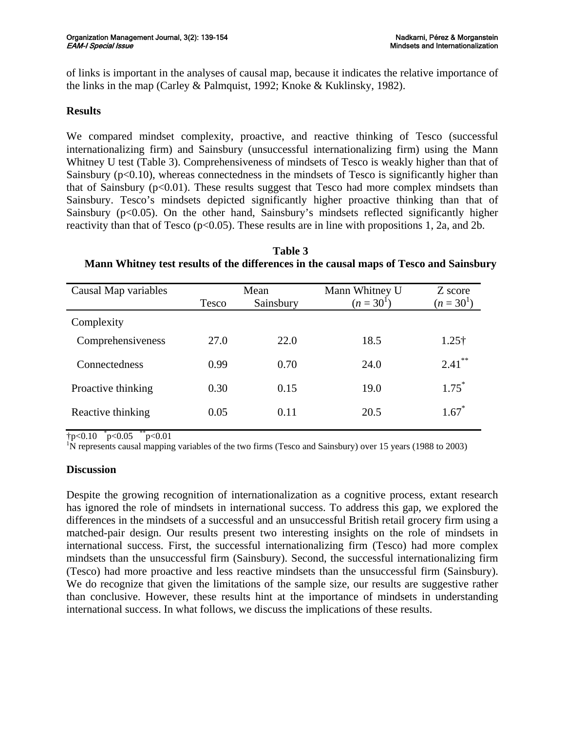of links is important in the analyses of causal map, because it indicates the relative importance of the links in the map (Carley & Palmquist, 1992; Knoke & Kuklinsky, 1982).

### **Results**

We compared mindset complexity, proactive, and reactive thinking of Tesco (successful internationalizing firm) and Sainsbury (unsuccessful internationalizing firm) using the Mann Whitney U test (Table 3). Comprehensiveness of mindsets of Tesco is weakly higher than that of Sainsbury ( $p<0.10$ ), whereas connectedness in the mindsets of Tesco is significantly higher than that of Sainsbury  $(p<0.01)$ . These results suggest that Tesco had more complex mindsets than Sainsbury. Tesco's mindsets depicted significantly higher proactive thinking than that of Sainsbury ( $p<0.05$ ). On the other hand, Sainsbury's mindsets reflected significantly higher reactivity than that of Tesco ( $p<0.05$ ). These results are in line with propositions 1, 2a, and 2b.

**Table 3 Mann Whitney test results of the differences in the causal maps of Tesco and Sainsbury** 

| Causal Map variables |              | Mean      | Mann Whitney U | Z score       |
|----------------------|--------------|-----------|----------------|---------------|
|                      | <b>Tesco</b> | Sainsbury | $(n=30^1)$     | $(n=30^1)$    |
| Complexity           |              |           |                |               |
| Comprehensiveness    | 27.0         | 22.0      | 18.5           | $1.25\dagger$ |
| Connectedness        | 0.99         | 0.70      | 24.0           | $2.41***$     |
| Proactive thinking   | 0.30         | 0.15      | 19.0           | $1.75^*$      |
| Reactive thinking    | 0.05         | 0.11      | 20.5           | $1.67*$       |

 $\uparrow$  p < 0.10  $\uparrow$  p < 0.05

p<0.05 \*\*p<0.01 1 N represents causal mapping variables of the two firms (Tesco and Sainsbury) over 15 years (1988 to 2003)

#### **Discussion**

Despite the growing recognition of internationalization as a cognitive process, extant research has ignored the role of mindsets in international success. To address this gap, we explored the differences in the mindsets of a successful and an unsuccessful British retail grocery firm using a matched-pair design. Our results present two interesting insights on the role of mindsets in international success. First, the successful internationalizing firm (Tesco) had more complex mindsets than the unsuccessful firm (Sainsbury). Second, the successful internationalizing firm (Tesco) had more proactive and less reactive mindsets than the unsuccessful firm (Sainsbury). We do recognize that given the limitations of the sample size, our results are suggestive rather than conclusive. However, these results hint at the importance of mindsets in understanding international success. In what follows, we discuss the implications of these results.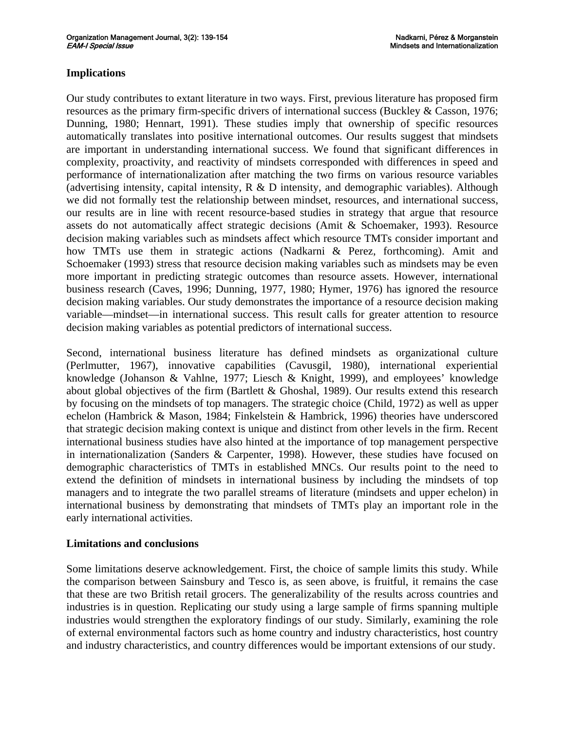### **Implications**

Our study contributes to extant literature in two ways. First, previous literature has proposed firm resources as the primary firm-specific drivers of international success (Buckley & Casson, 1976; Dunning, 1980; Hennart, 1991). These studies imply that ownership of specific resources automatically translates into positive international outcomes. Our results suggest that mindsets are important in understanding international success. We found that significant differences in complexity, proactivity, and reactivity of mindsets corresponded with differences in speed and performance of internationalization after matching the two firms on various resource variables (advertising intensity, capital intensity, R & D intensity, and demographic variables). Although we did not formally test the relationship between mindset, resources, and international success, our results are in line with recent resource-based studies in strategy that argue that resource assets do not automatically affect strategic decisions (Amit & Schoemaker, 1993). Resource decision making variables such as mindsets affect which resource TMTs consider important and how TMTs use them in strategic actions (Nadkarni & Perez, forthcoming). Amit and Schoemaker (1993) stress that resource decision making variables such as mindsets may be even more important in predicting strategic outcomes than resource assets. However, international business research (Caves, 1996; Dunning, 1977, 1980; Hymer, 1976) has ignored the resource decision making variables. Our study demonstrates the importance of a resource decision making variable—mindset—in international success. This result calls for greater attention to resource decision making variables as potential predictors of international success.

Second, international business literature has defined mindsets as organizational culture (Perlmutter, 1967), innovative capabilities (Cavusgil, 1980), international experiential knowledge (Johanson & Vahlne, 1977; Liesch & Knight, 1999), and employees' knowledge about global objectives of the firm (Bartlett & Ghoshal, 1989). Our results extend this research by focusing on the mindsets of top managers. The strategic choice (Child, 1972) as well as upper echelon (Hambrick & Mason, 1984; Finkelstein & Hambrick, 1996) theories have underscored that strategic decision making context is unique and distinct from other levels in the firm. Recent international business studies have also hinted at the importance of top management perspective in internationalization (Sanders & Carpenter, 1998). However, these studies have focused on demographic characteristics of TMTs in established MNCs. Our results point to the need to extend the definition of mindsets in international business by including the mindsets of top managers and to integrate the two parallel streams of literature (mindsets and upper echelon) in international business by demonstrating that mindsets of TMTs play an important role in the early international activities.

#### **Limitations and conclusions**

Some limitations deserve acknowledgement. First, the choice of sample limits this study. While the comparison between Sainsbury and Tesco is, as seen above, is fruitful, it remains the case that these are two British retail grocers. The generalizability of the results across countries and industries is in question. Replicating our study using a large sample of firms spanning multiple industries would strengthen the exploratory findings of our study. Similarly, examining the role of external environmental factors such as home country and industry characteristics, host country and industry characteristics, and country differences would be important extensions of our study.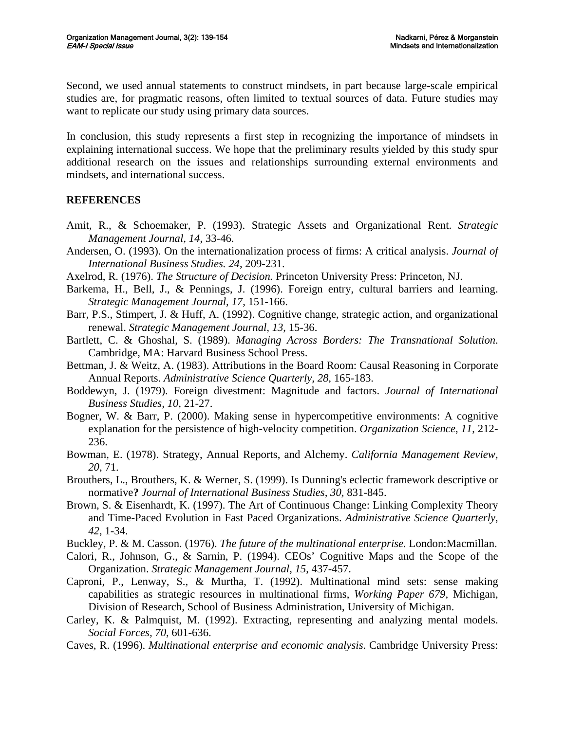Second, we used annual statements to construct mindsets, in part because large-scale empirical studies are, for pragmatic reasons, often limited to textual sources of data. Future studies may want to replicate our study using primary data sources.

In conclusion, this study represents a first step in recognizing the importance of mindsets in explaining international success. We hope that the preliminary results yielded by this study spur additional research on the issues and relationships surrounding external environments and mindsets, and international success.

## **REFERENCES**

- Amit, R., & Schoemaker, P. (1993). Strategic Assets and Organizational Rent. *Strategic Management Journal, 14*, 33-46.
- Andersen, O. (1993). On the internationalization process of firms: A critical analysis. *Journal of International Business Studies. 24*, 209-231.
- Axelrod, R. (1976). *The Structure of Decision.* Princeton University Press: Princeton, NJ.
- Barkema, H., Bell, J., & Pennings, J. (1996). Foreign entry, cultural barriers and learning. *Strategic Management Journal, 17*, 151-166.
- Barr, P.S., Stimpert, J. & Huff, A. (1992). Cognitive change, strategic action, and organizational renewal. *Strategic Management Journal, 13*, 15-36.
- Bartlett, C. & Ghoshal, S. (1989). *Managing Across Borders: The Transnational Solution*. Cambridge, MA: Harvard Business School Press.
- Bettman, J. & Weitz, A. (1983). Attributions in the Board Room: Causal Reasoning in Corporate Annual Reports. *Administrative Science Quarterly, 28*, 165-183.
- Boddewyn, J. (1979). Foreign divestment: Magnitude and factors. *Journal of International Business Studies, 10*, 21-27.
- Bogner, W. & Barr, P. (2000). Making sense in hypercompetitive environments: A cognitive explanation for the persistence of high-velocity competition. *Organization Science*, *11*, 212- 236.
- Bowman, E. (1978). Strategy, Annual Reports, and Alchemy. *California Management Review, 20*, 71.
- Brouthers, L., Brouthers, K. & Werner, S. (1999). Is Dunning's eclectic framework descriptive or normative**?** *Journal of International Business Studies, 30,* 831-845.
- Brown, S. & Eisenhardt, K. (1997). The Art of Continuous Change: Linking Complexity Theory and Time-Paced Evolution in Fast Paced Organizations. *Administrative Science Quarterly*, *42*, 1-34.
- Buckley, P. & M. Casson. (1976). *The future of the multinational enterprise.* London:Macmillan.
- Calori, R., Johnson, G., & Sarnin, P. (1994). CEOs' Cognitive Maps and the Scope of the Organization. *Strategic Management Journal*, *15*, 437-457.
- Caproni, P., Lenway, S., & Murtha, T. (1992). Multinational mind sets: sense making capabilities as strategic resources in multinational firms, *Working Paper 679,* Michigan, Division of Research, School of Business Administration, University of Michigan.
- Carley, K. & Palmquist, M. (1992). Extracting, representing and analyzing mental models. *Social Forces, 70*, 601-636.
- Caves, R. (1996). *Multinational enterprise and economic analysis*. Cambridge University Press: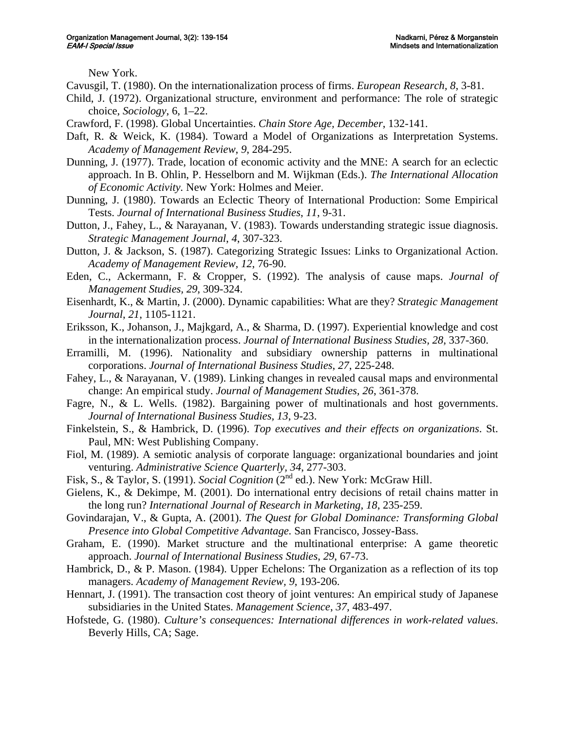150

New York.

Cavusgil, T. (1980). On the internationalization process of firms. *European Research, 8*, 3-81.

- Child, J. (1972). Organizational structure, environment and performance: The role of strategic choice, *Sociology*, 6, 1–22.
- Crawford, F. (1998). Global Uncertainties. *Chain Store Age, December*, 132-141.
- Daft, R. & Weick, K. (1984). Toward a Model of Organizations as Interpretation Systems. *Academy of Management Review*, *9*, 284-295.
- Dunning, J. (1977). Trade, location of economic activity and the MNE: A search for an eclectic approach. In B. Ohlin, P. Hesselborn and M. Wijkman (Eds.). *The International Allocation of Economic Activity.* New York: Holmes and Meier.
- Dunning, J. (1980). Towards an Eclectic Theory of International Production: Some Empirical Tests. *Journal of International Business Studies*, *11*, 9-31.
- Dutton, J., Fahey, L., & Narayanan, V. (1983). Towards understanding strategic issue diagnosis. *Strategic Management Journal*, *4*, 307-323.
- Dutton, J. & Jackson, S. (1987). Categorizing Strategic Issues: Links to Organizational Action. *Academy of Management Review, 12*, 76-90.
- Eden, C., Ackermann, F. & Cropper, S. (1992). The analysis of cause maps. *Journal of Management Studies, 29*, 309-324.
- Eisenhardt, K., & Martin, J. (2000). Dynamic capabilities: What are they? *Strategic Management Journal*, *21*, 1105-1121.
- Eriksson, K., Johanson, J., Majkgard, A., & Sharma, D. (1997). Experiential knowledge and cost in the internationalization process. *Journal of International Business Studies, 28*, 337-360.
- Erramilli, M. (1996). Nationality and subsidiary ownership patterns in multinational corporations. *Journal of International Business Studies*, *27*, 225-248.
- Fahey, L., & Narayanan, V. (1989). Linking changes in revealed causal maps and environmental change: An empirical study. *Journal of Management Studies, 26*, 361-378.
- Fagre, N., & L. Wells. (1982). Bargaining power of multinationals and host governments. *Journal of International Business Studies, 13*, 9-23.
- Finkelstein, S., & Hambrick, D. (1996). *Top executives and their effects on organizations*. St. Paul, MN: West Publishing Company.
- Fiol, M. (1989). A semiotic analysis of corporate language: organizational boundaries and joint venturing. *Administrative Science Quarterly, 34*, 277-303.
- Fisk, S., & Taylor, S. (1991). *Social Cognition* (2nd ed.). New York: McGraw Hill.
- Gielens, K., & Dekimpe, M. (2001). Do international entry decisions of retail chains matter in the long run? *International Journal of Research in Marketing, 18*, 235-259.
- Govindarajan, V., & Gupta, A. (2001). *The Quest for Global Dominance: Transforming Global Presence into Global Competitive Advantage.* San Francisco, Jossey-Bass.
- Graham, E. (1990). Market structure and the multinational enterprise: A game theoretic approach. *Journal of International Business Studies*, *29*, 67-73.
- Hambrick, D., & P. Mason. (1984). Upper Echelons: The Organization as a reflection of its top managers. *Academy of Management Review, 9*, 193-206.
- Hennart, J. (1991). The transaction cost theory of joint ventures: An empirical study of Japanese subsidiaries in the United States. *Management Science*, *37,* 483-497.
- Hofstede, G. (1980). *Culture's consequences: International differences in work-related values*. Beverly Hills, CA; Sage.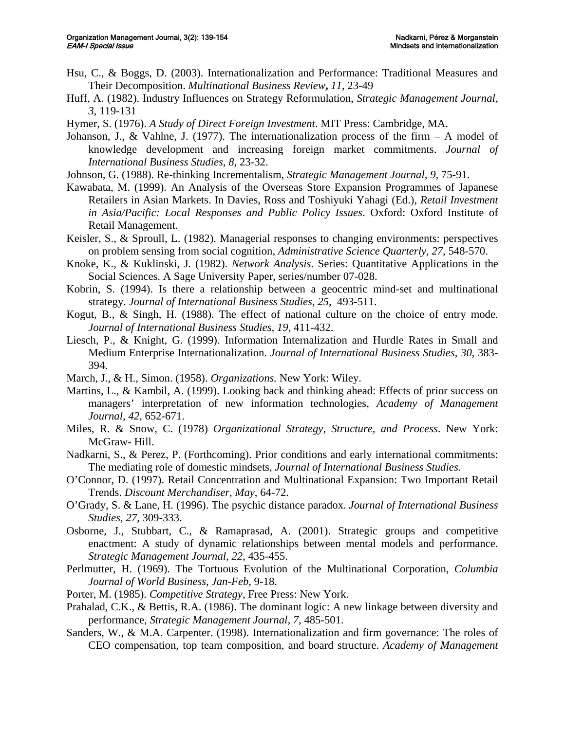- Hsu, C., & Boggs, D. (2003). Internationalization and Performance: Traditional Measures and Their Decomposition. *Multinational Business Review***,** *11*, 23-49
- Huff, A. (1982). Industry Influences on Strategy Reformulation, *Strategic Management Journal, 3*, 119-131
- Hymer, S. (1976). *A Study of Direct Foreign Investment*. MIT Press: Cambridge, MA.
- Johanson, J., & Vahlne, J. (1977). The internationalization process of the firm  $-$  A model of knowledge development and increasing foreign market commitments. *Journal of International Business Studies*, *8*, 23-32.
- Johnson, G. (1988). Re-thinking Incrementalism, *Strategic Management Journal, 9*, 75-91.
- Kawabata, M. (1999). An Analysis of the Overseas Store Expansion Programmes of Japanese Retailers in Asian Markets. In Davies, Ross and Toshiyuki Yahagi (Ed.), *Retail Investment in Asia/Pacific: Local Responses and Public Policy Issues*. Oxford: Oxford Institute of Retail Management.
- Keisler, S., & Sproull, L. (1982). Managerial responses to changing environments: perspectives on problem sensing from social cognition, *Administrative Science Quarterly, 27*, 548-570.
- Knoke, K., & Kuklinski, J. (1982). *Network Analysis*. Series: Quantitative Applications in the Social Sciences. A Sage University Paper, series/number 07-028.
- Kobrin, S. (1994). Is there a relationship between a geocentric mind-set and multinational strategy. *Journal of International Business Studies*, *25*, 493-511.
- Kogut, B., & Singh, H. (1988). The effect of national culture on the choice of entry mode. *Journal of International Business Studies, 19*, 411-432.
- Liesch, P., & Knight, G. (1999). Information Internalization and Hurdle Rates in Small and Medium Enterprise Internationalization. *Journal of International Business Studies*, *30*, 383- 394.
- March, J., & H., Simon. (1958). *Organizations.* New York: Wiley.
- Martins, L., & Kambil, A. (1999). Looking back and thinking ahead: Effects of prior success on managers' interpretation of new information technologies, *Academy of Management Journal, 42*, 652-671.
- Miles, R. & Snow, C. (1978) *Organizational Strategy, Structure, and Process*. New York: McGraw- Hill.
- Nadkarni, S., & Perez, P. (Forthcoming). Prior conditions and early international commitments: The mediating role of domestic mindsets, *Journal of International Business Studies.*
- O'Connor, D. (1997). Retail Concentration and Multinational Expansion: Two Important Retail Trends. *Discount Merchandiser, May*, 64-72.
- O'Grady, S. & Lane, H. (1996). The psychic distance paradox. *Journal of International Business Studies*, *27,* 309-333.
- Osborne, J., Stubbart, C., & Ramaprasad, A. (2001). Strategic groups and competitive enactment: A study of dynamic relationships between mental models and performance. *Strategic Management Journal*, *22*, 435-455.
- Perlmutter, H. (1969). The Tortuous Evolution of the Multinational Corporation, *Columbia Journal of World Business, Jan-Feb*, 9-18.
- Porter, M. (1985). *Competitive Strategy*, Free Press: New York.
- Prahalad, C.K., & Bettis, R.A. (1986). The dominant logic: A new linkage between diversity and performance, *Strategic Management Journal, 7*, 485-501.
- Sanders, W., & M.A. Carpenter. (1998). Internationalization and firm governance: The roles of CEO compensation, top team composition, and board structure. *Academy of Management*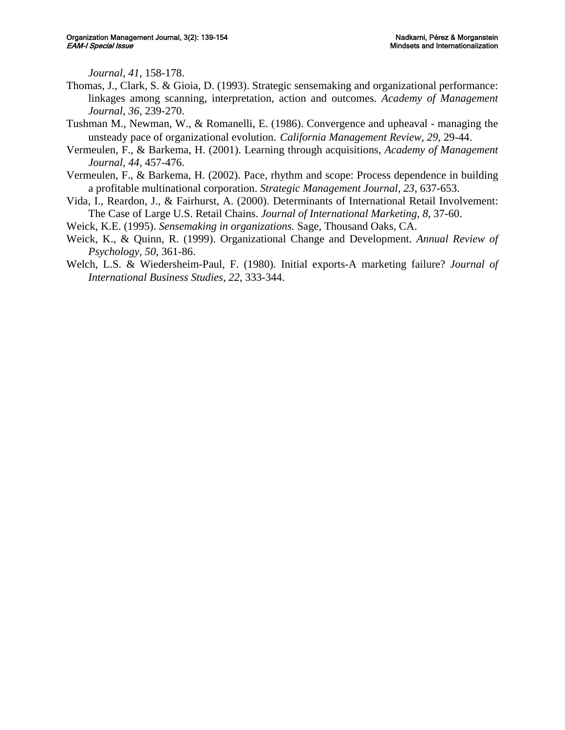*Journal*, *41*, 158-178.

- Thomas, J., Clark, S. & Gioia, D. (1993). Strategic sensemaking and organizational performance: linkages among scanning, interpretation, action and outcomes. *Academy of Management Journal, 36*, 239-270.
- Tushman M., Newman, W., & Romanelli, E. (1986). Convergence and upheaval managing the unsteady pace of organizational evolution. *California Management Review, 29*, 29-44.
- Vermeulen, F., & Barkema, H. (2001). Learning through acquisitions, *Academy of Management Journal*, *44*, 457-476.
- Vermeulen, F., & Barkema, H. (2002). Pace, rhythm and scope: Process dependence in building a profitable multinational corporation. *Strategic Management Journal*, *23*, 637-653.
- Vida, I., Reardon, J., & Fairhurst, A. (2000). Determinants of International Retail Involvement: The Case of Large U.S. Retail Chains. *Journal of International Marketing, 8,* 37-60.
- Weick, K.E. (1995). *Sensemaking in organizations.* Sage, Thousand Oaks, CA.
- Weick, K., & Quinn, R. (1999). Organizational Change and Development. *Annual Review of Psychology, 50*, 361-86.
- Welch, L.S. & Wiedersheim-Paul, F. (1980). Initial exports-A marketing failure? *Journal of International Business Studies, 22*, 333-344.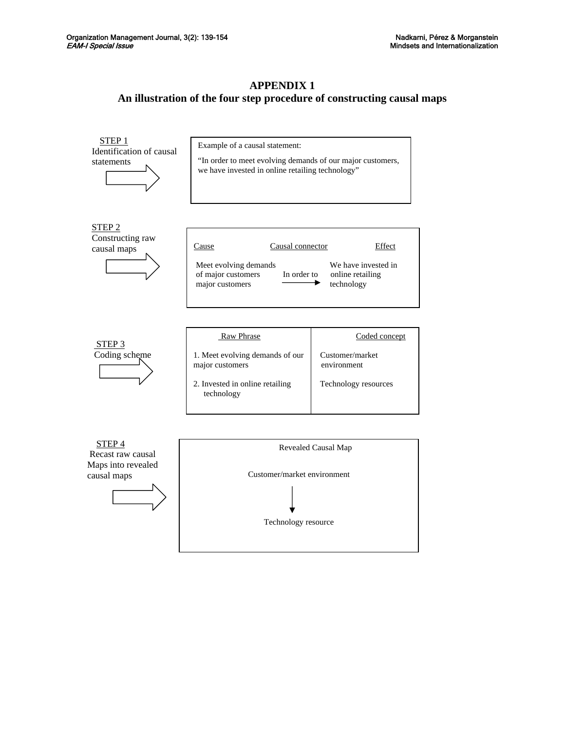## **APPENDIX 1 An illustration of the four step procedure of constructing causal maps**